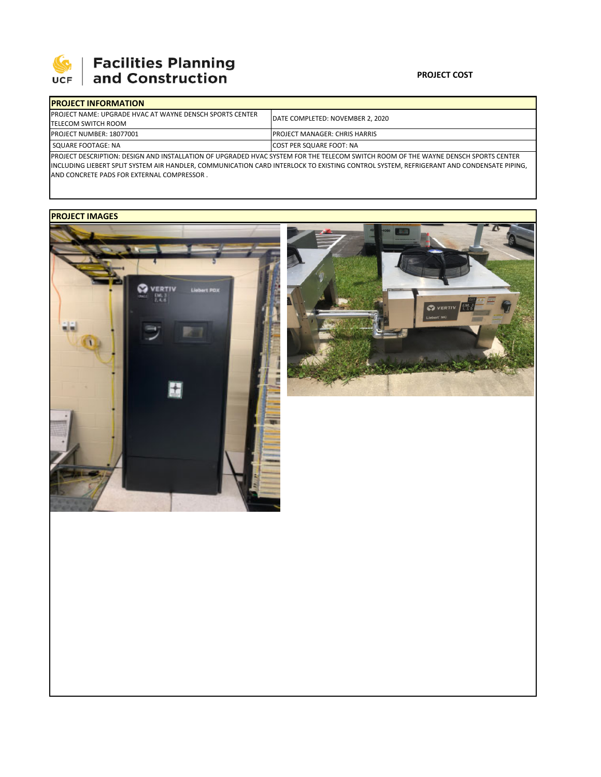

# **SEPTE AND Facilities Planning**<br>UCF and Construction

### **PROJECT COST**

| <b>IPROJECT INFORMATION</b>                                                                                                         |                                       |  |  |  |
|-------------------------------------------------------------------------------------------------------------------------------------|---------------------------------------|--|--|--|
| <b>IPROJECT NAME: UPGRADE HVAC AT WAYNE DENSCH SPORTS CENTER</b>                                                                    | DATE COMPLETED: NOVEMBER 2, 2020      |  |  |  |
| <b>TELECOM SWITCH ROOM</b>                                                                                                          |                                       |  |  |  |
| <b>PROJECT NUMBER: 18077001</b>                                                                                                     | <b>IPROJECT MANAGER: CHRIS HARRIS</b> |  |  |  |
| <b>SQUARE FOOTAGE: NA</b>                                                                                                           | <b>ICOST PER SQUARE FOOT: NA</b>      |  |  |  |
| IBBOIECT BECCRIPTION: BECICN AND INCTALLATION OF URCRABED HUAC CVETEM FOR THE TELECOM CWITCH ROOM OF THE WAVNE BENCCH CROBTC CENTER |                                       |  |  |  |

PROJECT DESCRIPTION: DESIGN AND INSTALLATION OF UPGRADED HVAC SYSTEM FOR THE TELECOM SWITCH ROOM OF THE WAYNE DENSCH SPORTS CENTER INCLUDING LIEBERT SPLIT SYSTEM AIR HANDLER, COMMUNICATION CARD INTERLOCK TO EXISTING CONTROL SYSTEM, REFRIGERANT AND CONDENSATE PIPING, AND CONCRETE PADS FOR EXTERNAL COMPRESSOR .

## **PROJECT IMAGES**